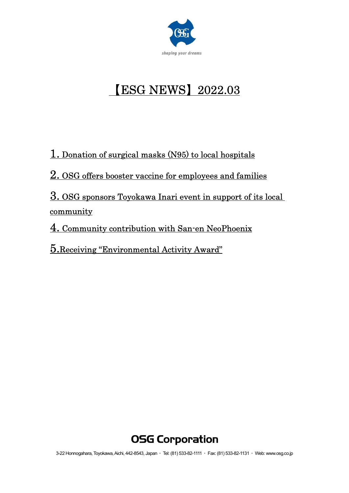

# 【ESG NEWS】2022.03

1. Donation of surgical masks (N95) to local hospitals

2. OSG offers booster vaccine for employees and families

3. OSG sponsors Toyokawa Inari event in support of its local community

4. Community contribution with San-en NeoPhoenix

5.Receiving "Environmental Activity Award"

# **OSG Corporation**

3-22 Honnogahara, Toyokawa, Aichi, 442-8543, Japan ・ Tel: (81) 533-82-1111 ・ Fax: (81) 533-82-1131 ・ Web: www.osg.co.jp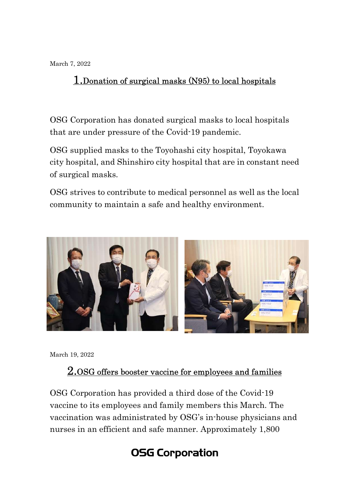March 7, 2022

#### 1.Donation of surgical masks (N95) to local hospitals

OSG Corporation has donated surgical masks to local hospitals that are under pressure of the Covid-19 pandemic.

OSG supplied masks to the Toyohashi city hospital, Toyokawa city hospital, and Shinshiro city hospital that are in constant need of surgical masks.

OSG strives to contribute to medical personnel as well as the local community to maintain a safe and healthy environment.



March 19, 2022

#### 2.OSG offers booster vaccine for employees and families

OSG Corporation has provided a third dose of the Covid-19 vaccine to its employees and family members this March. The vaccination was administrated by OSG's in-house physicians and nurses in an efficient and safe manner. Approximately 1,800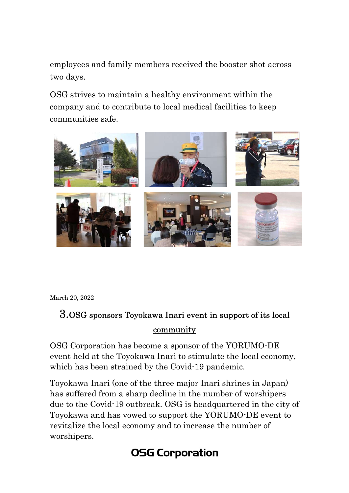employees and family members received the booster shot across two days.

OSG strives to maintain a healthy environment within the company and to contribute to local medical facilities to keep communities safe.



March 20, 2022

### 3.OSG sponsors Toyokawa Inari event in support of its local community

OSG Corporation has become a sponsor of the YORUMO-DE event held at the Toyokawa Inari to stimulate the local economy, which has been strained by the Covid-19 pandemic.

Toyokawa Inari (one of the three major Inari shrines in Japan) has suffered from a sharp decline in the number of worshipers due to the Covid-19 outbreak. OSG is headquartered in the city of Toyokawa and has vowed to support the YORUMO-DE event to revitalize the local economy and to increase the number of worshipers.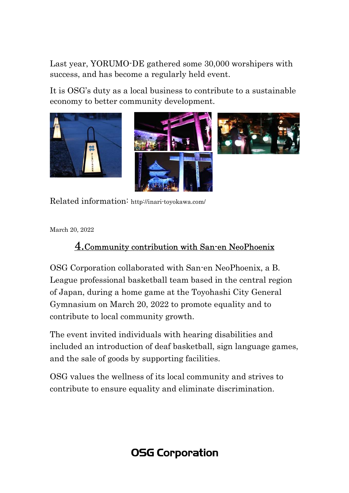Last year, YORUMO-DE gathered some 30,000 worshipers with success, and has become a regularly held event.

It is OSG's duty as a local business to contribute to a sustainable economy to better community development.







Related information: http://inari-toyokawa.com/

March 20, 2022

#### 4.Community contribution with San-en NeoPhoenix

OSG Corporation collaborated with San-en NeoPhoenix, a B. League professional basketball team based in the central region of Japan, during a home game at the Toyohashi City General Gymnasium on March 20, 2022 to promote equality and to contribute to local community growth.

The event invited individuals with hearing disabilities and included an introduction of deaf basketball, sign language games, and the sale of goods by supporting facilities.

OSG values the wellness of its local community and strives to contribute to ensure equality and eliminate discrimination.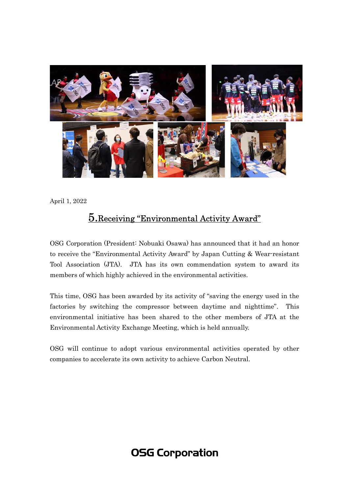

April 1, 2022

#### 5.Receiving "Environmental Activity Award"

OSG Corporation (President: Nobuaki Osawa) has announced that it had an honor to receive the "Environmental Activity Award" by Japan Cutting & Wear-resistant Tool Association (JTA). JTA has its own commendation system to award its members of which highly achieved in the environmental activities.

This time, OSG has been awarded by its activity of "saving the energy used in the factories by switching the compressor between daytime and nighttime". This environmental initiative has been shared to the other members of JTA at the Environmental Activity Exchange Meeting, which is held annually.

OSG will continue to adopt various environmental activities operated by other companies to accelerate its own activity to achieve Carbon Neutral.